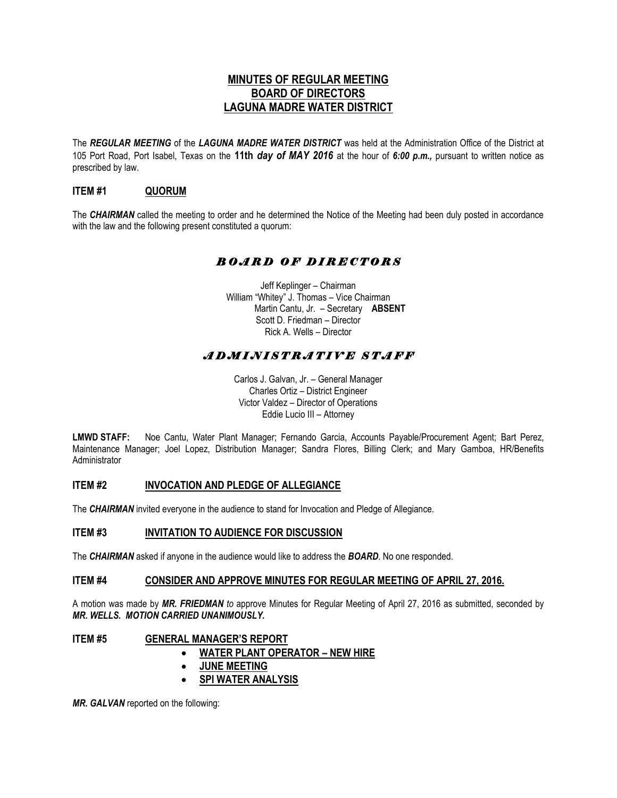# **MINUTES OF REGULAR MEETING BOARD OF DIRECTORS LAGUNA MADRE WATER DISTRICT**

The *REGULAR MEETING* of the *LAGUNA MADRE WATER DISTRICT* was held at the Administration Office of the District at 105 Port Road, Port Isabel, Texas on the **11th** *day of MAY 2016* at the hour of *6:00 p.m.,* pursuant to written notice as prescribed by law.

# **ITEM #1 QUORUM**

The *CHAIRMAN* called the meeting to order and he determined the Notice of the Meeting had been duly posted in accordance with the law and the following present constituted a quorum:

# *B O A R D O F D I R E C T O R S*

Jeff Keplinger – Chairman William "Whitey" J. Thomas – Vice Chairman Martin Cantu, Jr. – Secretary **ABSENT** Scott D. Friedman – Director Rick A. Wells – Director

# *A D M I N I S T R A T I V E S T A F F*

Carlos J. Galvan, Jr. – General Manager Charles Ortiz – District Engineer Victor Valdez – Director of Operations Eddie Lucio III – Attorney

**LMWD STAFF:** Noe Cantu, Water Plant Manager; Fernando Garcia, Accounts Payable/Procurement Agent; Bart Perez, Maintenance Manager; Joel Lopez, Distribution Manager; Sandra Flores, Billing Clerk; and Mary Gamboa, HR/Benefits Administrator

### **ITEM #2 INVOCATION AND PLEDGE OF ALLEGIANCE**

The *CHAIRMAN* invited everyone in the audience to stand for Invocation and Pledge of Allegiance.

#### **ITEM #3 INVITATION TO AUDIENCE FOR DISCUSSION**

The *CHAIRMAN* asked if anyone in the audience would like to address the *BOARD*. No one responded.

#### **ITEM #4 CONSIDER AND APPROVE MINUTES FOR REGULAR MEETING OF APRIL 27, 2016.**

A motion was made by *MR. FRIEDMAN to* approve Minutes for Regular Meeting of April 27, 2016 as submitted, seconded by *MR. WELLS. MOTION CARRIED UNANIMOUSLY.* 

### **ITEM #5 GENERAL MANAGER'S REPORT**

- **WATER PLANT OPERATOR – NEW HIRE**
- **JUNE MEETING**
- **SPI WATER ANALYSIS**

*MR. GALVAN* reported on the following: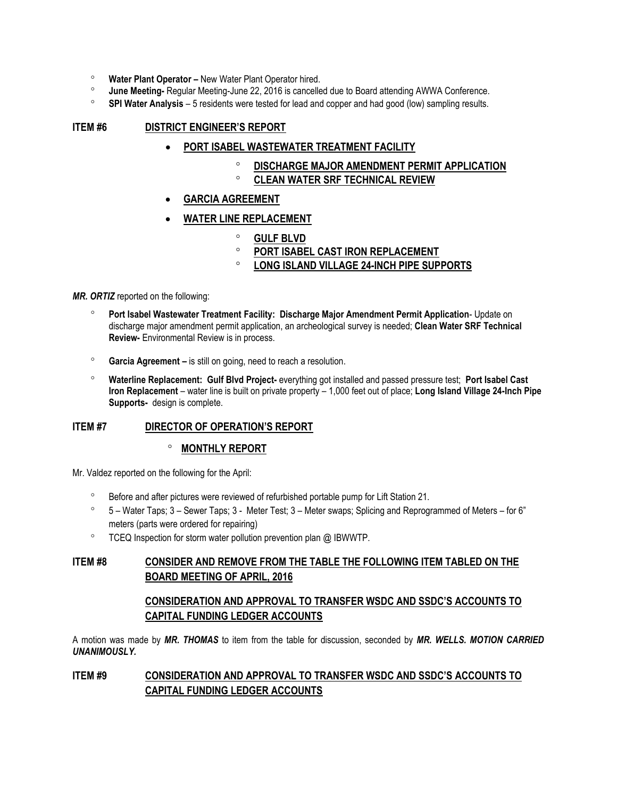- **Water Plant Operator –** New Water Plant Operator hired.
- **June Meeting-** Regular Meeting-June 22, 2016 is cancelled due to Board attending AWWA Conference.
- **SPI Water Analysis** 5 residents were tested for lead and copper and had good (low) sampling results.

#### **ITEM #6 DISTRICT ENGINEER'S REPORT**

- **PORT ISABEL WASTEWATER TREATMENT FACILITY** 
	- **DISCHARGE MAJOR AMENDMENT PERMIT APPLICATION**
	- **CLEAN WATER SRF TECHNICAL REVIEW**
- **GARCIA AGREEMENT**
- **WATER LINE REPLACEMENT** 
	- **GULF BLVD**
	- **PORT ISABEL CAST IRON REPLACEMENT**
	- **LONG ISLAND VILLAGE 24-INCH PIPE SUPPORTS**

*MR. ORTIZ* reported on the following:

- **Port Isabel Wastewater Treatment Facility: Discharge Major Amendment Permit Application** Update on discharge major amendment permit application, an archeological survey is needed; **Clean Water SRF Technical Review-** Environmental Review is in process.
- **Garcia Agreement –** is still on going, need to reach a resolution.
- **Waterline Replacement: Gulf Blvd Project-** everything got installed and passed pressure test; **Port Isabel Cast Iron Replacement** – water line is built on private property – 1,000 feet out of place; **Long Island Village 24-Inch Pipe Supports-** design is complete.

### **ITEM #7 DIRECTOR OF OPERATION'S REPORT**

### **MONTHLY REPORT**

Mr. Valdez reported on the following for the April:

- <sup>o</sup> Before and after pictures were reviewed of refurbished portable pump for Lift Station 21.
- 5 Water Taps; 3 Sewer Taps; 3 Meter Test; 3 Meter swaps; Splicing and Reprogrammed of Meters for 6" meters (parts were ordered for repairing)
- $\degree$  TCEQ Inspection for storm water pollution prevention plan @ IBWWTP.

### **ITEM #8 CONSIDER AND REMOVE FROM THE TABLE THE FOLLOWING ITEM TABLED ON THE BOARD MEETING OF APRIL, 2016**

### **CONSIDERATION AND APPROVAL TO TRANSFER WSDC AND SSDC'S ACCOUNTS TO CAPITAL FUNDING LEDGER ACCOUNTS**

A motion was made by *MR. THOMAS* to item from the table for discussion, seconded by *MR. WELLS. MOTION CARRIED UNANIMOUSLY.*

### **ITEM #9 CONSIDERATION AND APPROVAL TO TRANSFER WSDC AND SSDC'S ACCOUNTS TO CAPITAL FUNDING LEDGER ACCOUNTS**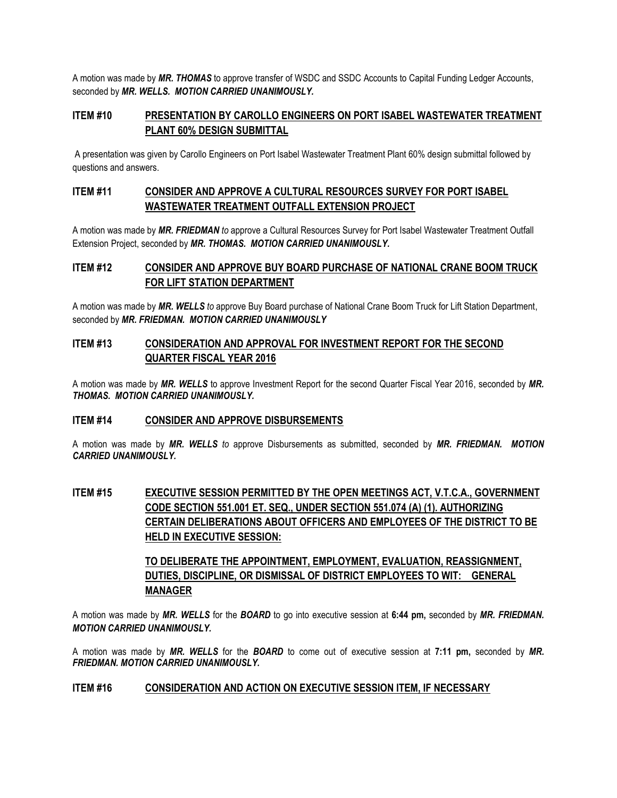A motion was made by *MR. THOMAS* to approve transfer of WSDC and SSDC Accounts to Capital Funding Ledger Accounts, seconded by *MR. WELLS. MOTION CARRIED UNANIMOUSLY.*

### **ITEM #10 PRESENTATION BY CAROLLO ENGINEERS ON PORT ISABEL WASTEWATER TREATMENT PLANT 60% DESIGN SUBMITTAL**

A presentation was given by Carollo Engineers on Port Isabel Wastewater Treatment Plant 60% design submittal followed by questions and answers.

# **ITEM #11 CONSIDER AND APPROVE A CULTURAL RESOURCES SURVEY FOR PORT ISABEL WASTEWATER TREATMENT OUTFALL EXTENSION PROJECT**

A motion was made by *MR. FRIEDMAN to* approve a Cultural Resources Survey for Port Isabel Wastewater Treatment Outfall Extension Project, seconded by *MR. THOMAS. MOTION CARRIED UNANIMOUSLY.*

# **ITEM #12 CONSIDER AND APPROVE BUY BOARD PURCHASE OF NATIONAL CRANE BOOM TRUCK FOR LIFT STATION DEPARTMENT**

A motion was made by *MR. WELLS to* approve Buy Board purchase of National Crane Boom Truck for Lift Station Department, seconded by *MR. FRIEDMAN. MOTION CARRIED UNANIMOUSLY*

### **ITEM #13 CONSIDERATION AND APPROVAL FOR INVESTMENT REPORT FOR THE SECOND QUARTER FISCAL YEAR 2016**

A motion was made by *MR. WELLS* to approve Investment Report for the second Quarter Fiscal Year 2016, seconded by *MR. THOMAS. MOTION CARRIED UNANIMOUSLY.*

### **ITEM #14 CONSIDER AND APPROVE DISBURSEMENTS**

A motion was made by *MR. WELLS to* approve Disbursements as submitted, seconded by *MR. FRIEDMAN. MOTION CARRIED UNANIMOUSLY.*

# **ITEM #15 EXECUTIVE SESSION PERMITTED BY THE OPEN MEETINGS ACT, V.T.C.A., GOVERNMENT CODE SECTION 551.001 ET. SEQ., UNDER SECTION 551.074 (A) (1). AUTHORIZING CERTAIN DELIBERATIONS ABOUT OFFICERS AND EMPLOYEES OF THE DISTRICT TO BE HELD IN EXECUTIVE SESSION:**

# **TO DELIBERATE THE APPOINTMENT, EMPLOYMENT, EVALUATION, REASSIGNMENT, DUTIES, DISCIPLINE, OR DISMISSAL OF DISTRICT EMPLOYEES TO WIT: GENERAL MANAGER**

A motion was made by *MR. WELLS* for the *BOARD* to go into executive session at **6:44 pm,** seconded by *MR. FRIEDMAN. MOTION CARRIED UNANIMOUSLY.* 

A motion was made by *MR. WELLS* for the *BOARD* to come out of executive session at **7:11 pm,** seconded by *MR. FRIEDMAN. MOTION CARRIED UNANIMOUSLY.* 

### **ITEM #16 CONSIDERATION AND ACTION ON EXECUTIVE SESSION ITEM, IF NECESSARY**